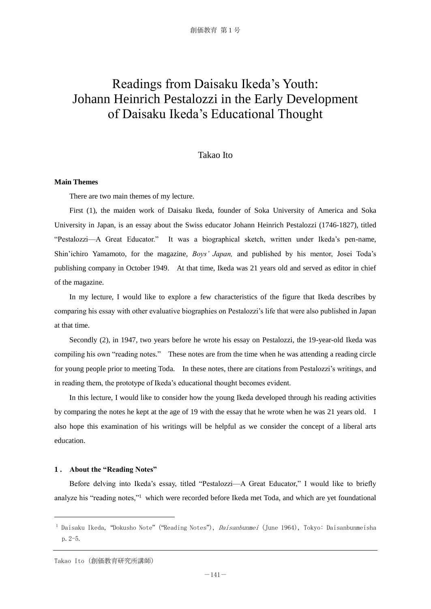# Readings from Daisaku Ikeda's Youth: Johann Heinrich Pestalozzi in the Early Development of Daisaku Ikeda's Educational Thought

## Takao Ito

## **Main Themes**

There are two main themes of my lecture.

 First (1), the maiden work of Daisaku Ikeda, founder of Soka University of America and Soka University in Japan, is an essay about the Swiss educator Johann Heinrich Pestalozzi (1746-1827), titled "Pestalozzi—A Great Educator." It was a biographical sketch, written under Ikeda's pen-name, Shin'ichiro Yamamoto, for the magazine, *Boys' Japan,* and published by his mentor, Josei Toda's publishing company in October 1949. At that time, Ikeda was 21 years old and served as editor in chief of the magazine.

 In my lecture, I would like to explore a few characteristics of the figure that Ikeda describes by comparing his essay with other evaluative biographies on Pestalozzi's life that were also published in Japan at that time.

 Secondly (2), in 1947, two years before he wrote his essay on Pestalozzi, the 19-year-old Ikeda was compiling his own "reading notes." These notes are from the time when he was attending a reading circle for young people prior to meeting Toda. In these notes, there are citations from Pestalozzi's writings, and in reading them, the prototype of Ikeda's educational thought becomes evident.

 In this lecture, I would like to consider how the young Ikeda developed through his reading activities by comparing the notes he kept at the age of 19 with the essay that he wrote when he was 21 years old. I also hope this examination of his writings will be helpful as we consider the concept of a liberal arts education.

## **1 . About the "Reading Notes"**

 Before delving into Ikeda's essay, titled "Pestalozzi—A Great Educator," I would like to briefly analyze his "reading notes,"<sup>1</sup> which were recorded before Ikeda met Toda, and which are yet foundational

<sup>&</sup>lt;sup>1</sup> Daisaku Ikeda, "Dokusho Note" ("Reading Notes"), *Daisanbunmei* (June 1964), Tokyo: Daisanbunmeisha p.2-5.

Takao Ito(創価教育研究所講師)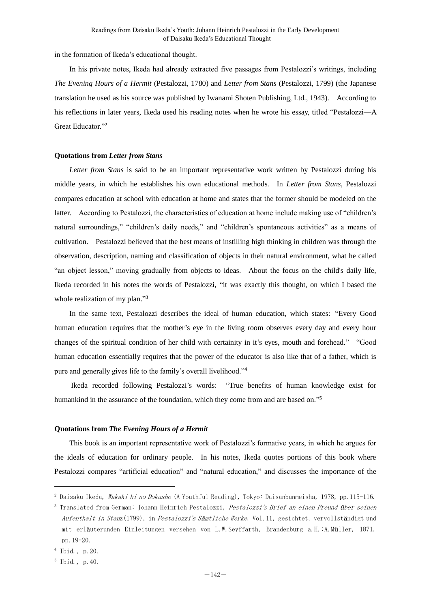in the formation of Ikeda's educational thought.

 In his private notes, Ikeda had already extracted five passages from Pestalozzi's writings, including *The Evening Hours of a Hermit* (Pestalozzi, 1780) and *Letter from Stans* (Pestalozzi, 1799) (the Japanese translation he used as his source was published by Iwanami Shoten Publishing, Ltd., 1943). According to his reflections in later years, Ikeda used his reading notes when he wrote his essay, titled "Pestalozzi—A Great Educator."<sup>2</sup>

## **Quotations from** *Letter from Stans*

 *Letter from Stans* is said to be an important representative work written by Pestalozzi during his middle years, in which he establishes his own educational methods. In *Letter from Stans,* Pestalozzi compares education at school with education at home and states that the former should be modeled on the latter. According to Pestalozzi, the characteristics of education at home include making use of "children's natural surroundings," "children's daily needs," and "children's spontaneous activities" as a means of cultivation. Pestalozzi believed that the best means of instilling high thinking in children was through the observation, description, naming and classification of objects in their natural environment, what he called "an object lesson," moving gradually from objects to ideas. About the focus on the child's daily life, Ikeda recorded in his notes the words of Pestalozzi, "it was exactly this thought, on which I based the whole realization of my plan."<sup>3</sup>

 In the same text, Pestalozzi describes the ideal of human education, which states: "Every Good human education requires that the mother's eye in the living room observes every day and every hour changes of the spiritual condition of her child with certainity in it's eyes, mouth and forehead." "Good human education essentially requires that the power of the educator is also like that of a father, which is pure and generally gives life to the family's overall livelihood."<sup>4</sup>

 Ikeda recorded following Pestalozzi's words: "True benefits of human knowledge exist for humankind in the assurance of the foundation, which they come from and are based on."<sup>5</sup>

## **Quotations from** *The Evening Hours of a Hermit*

 This book is an important representative work of Pestalozzi's formative years, in which he argues for the ideals of education for ordinary people. In his notes, Ikeda quotes portions of this book where Pestalozzi compares "artificial education" and "natural education," and discusses the importance of the

<sup>&</sup>lt;sup>2</sup> Daisaku Ikeda, *Wakaki hi no Dokusho* (A Youthful Reading), Tokyo: Daisanbunmeisha, 1978, pp.115-116.

<sup>&</sup>lt;sup>3</sup> Translated from German: Johann Heinrich Pestalozzi, *Pestalozzi's Brief an einen Freund über seinen* Aufenthalt in Stanz(1799), in Pestalozzi's Sämtliche Werke, Vol.11, gesichtet, vervollständigt und mit erläuterunden Einleitungen versehen von L.W.Seyffarth, Brandenburg a.H.:A.Müller, 1871, pp.19-20.

<sup>4</sup> Ibid., p.20.

<sup>5</sup> Ibid., p.40.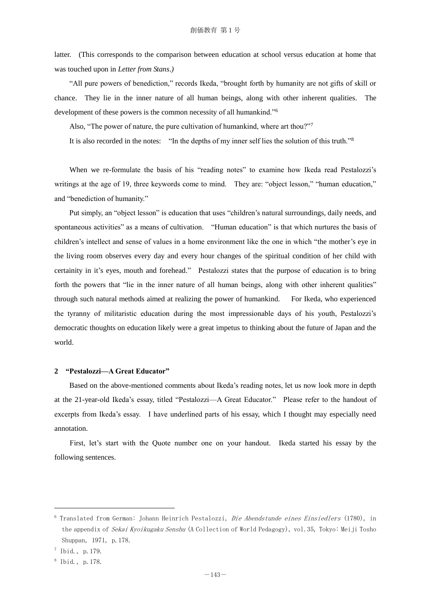latter. (This corresponds to the comparison between education at school versus education at home that was touched upon in *Letter from Stans*.*)*

 "All pure powers of benediction," records Ikeda, "brought forth by humanity are not gifts of skill or chance. They lie in the inner nature of all human beings, along with other inherent qualities. The development of these powers is the common necessity of all humankind."<sup>6</sup>

Also, "The power of nature, the pure cultivation of humankind, where art thou?"<sup>7</sup>

It is also recorded in the notes: "In the depths of my inner self lies the solution of this truth."<sup>8</sup>

 When we re-formulate the basis of his "reading notes" to examine how Ikeda read Pestalozzi's writings at the age of 19, three keywords come to mind. They are: "object lesson," "human education," and "benediction of humanity."

 Put simply, an "object lesson" is education that uses "children's natural surroundings, daily needs, and spontaneous activities" as a means of cultivation. "Human education" is that which nurtures the basis of children's intellect and sense of values in a home environment like the one in which "the mother's eye in the living room observes every day and every hour changes of the spiritual condition of her child with certainity in it's eyes, mouth and forehead." Pestalozzi states that the purpose of education is to bring forth the powers that "lie in the inner nature of all human beings, along with other inherent qualities" through such natural methods aimed at realizing the power of humankind. For Ikeda, who experienced the tyranny of militaristic education during the most impressionable days of his youth, Pestalozzi's democratic thoughts on education likely were a great impetus to thinking about the future of Japan and the world.

### **2 "Pestalozzi—A Great Educator"**

 Based on the above-mentioned comments about Ikeda's reading notes, let us now look more in depth at the 21-year-old Ikeda's essay, titled "Pestalozzi—A Great Educator." Please refer to the handout of excerpts from Ikeda's essay. I have underlined parts of his essay, which I thought may especially need annotation.

 First, let's start with the Quote number one on your handout. Ikeda started his essay by the following sentences.

<sup>&</sup>lt;sup>6</sup> Translated from German: Johann Heinrich Pestalozzi, *Die Abendstunde eines Einsiedlers* (1780), in the appendix of Sekai Kyoikugaku Senshu (A Collection of World Pedagogy), vol.35, Tokyo: Meiji Tosho Shuppan, 1971, p.178.

 $^7$  Ibid., p. 179.

<sup>8</sup> Ibid., p.178.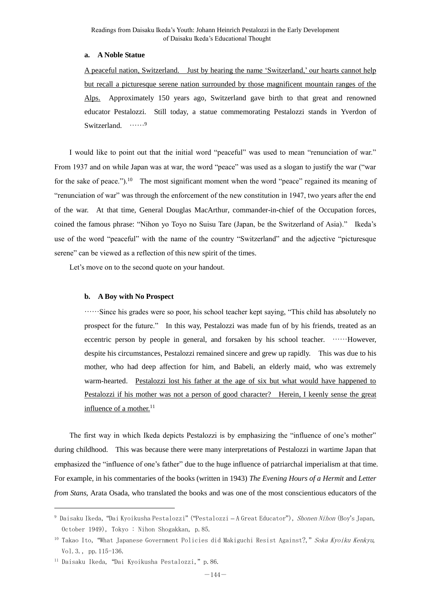## **a. A Noble Statue**

A peaceful nation, Switzerland. Just by hearing the name 'Switzerland,' our hearts cannot help but recall a picturesque serene nation surrounded by those magnificent mountain ranges of the Alps. Approximately 150 years ago, Switzerland gave birth to that great and renowned educator Pestalozzi. Still today, a statue commemorating Pestalozzi stands in Yverdon of Switzerland. ……9

 I would like to point out that the initial word "peaceful" was used to mean "renunciation of war." From 1937 and on while Japan was at war, the word "peace" was used as a slogan to justify the war ("war for the sake of peace.").<sup>10</sup> The most significant moment when the word "peace" regained its meaning of "renunciation of war" was through the enforcement of the new constitution in 1947, two years after the end of the war. At that time, General Douglas MacArthur, commander-in-chief of the Occupation forces, coined the famous phrase: "Nihon yo Toyo no Suisu Tare (Japan, be the Switzerland of Asia)." Ikeda's use of the word "peaceful" with the name of the country "Switzerland" and the adjective "picturesque serene" can be viewed as a reflection of this new spirit of the times.

Let's move on to the second quote on your handout.

### **b. A Boy with No Prospect**

……Since his grades were so poor, his school teacher kept saying, "This child has absolutely no prospect for the future." In this way, Pestalozzi was made fun of by his friends, treated as an eccentric person by people in general, and forsaken by his school teacher. ……However, despite his circumstances, Pestalozzi remained sincere and grew up rapidly. This was due to his mother, who had deep affection for him, and Babeli, an elderly maid, who was extremely warm-hearted. Pestalozzi lost his father at the age of six but what would have happened to Pestalozzi if his mother was not a person of good character? Herein, I keenly sense the great influence of a mother.<sup>11</sup>

 The first way in which Ikeda depicts Pestalozzi is by emphasizing the "influence of one's mother" during childhood. This was because there were many interpretations of Pestalozzi in wartime Japan that emphasized the "influence of one's father" due to the huge influence of patriarchal imperialism at that time. For example, in his commentaries of the books (written in 1943) *The Evening Hours of a Hermit* and *Letter from Stans,* Arata Osada, who translated the books and was one of the most conscientious educators of the

<sup>9</sup> Daisaku Ikeda, "Dai Kyoikusha Pestalozzi" ("Pestalozzi – A Great Educator"), Shonen Nihon (Boy's Japan, October 1949), Tokyo : Nihon Shogakkan, p.85.

<sup>&</sup>lt;sup>10</sup> Takao Ito, "What Japanese Government Policies did Makiguchi Resist Against?," Soka Kyoiku Kenkyu, Vol.3., pp.115-136.

<sup>11</sup> Daisaku Ikeda, "Dai Kyoikusha Pestalozzi," p.86.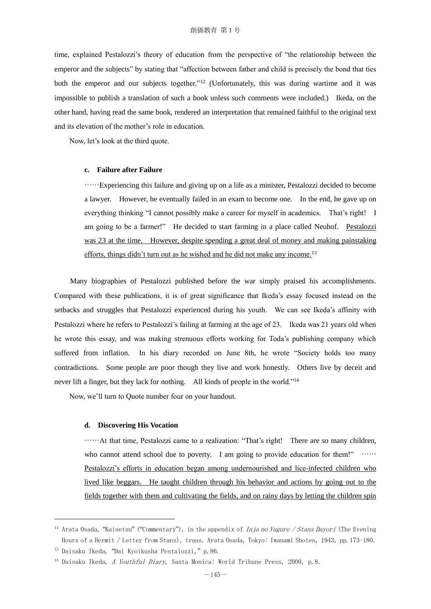time, explained Pestalozzi's theory of education from the perspective of "the relationship between the emperor and the subjects" by stating that "affection between father and child is precisely the bond that ties both the emperor and our subjects together."<sup>12</sup> (Unfortunately, this was during wartime and it was impossible to publish a translation of such a book unless such comments were included.) Ikeda, on the other hand, having read the same book, rendered an interpretation that remained faithful to the original text and its elevation of the mother's role in education.

Now, let's look at the third quote.

# **c. Failure after Failure**

……Experiencing this failure and giving up on a life as a minister, Pestalozzi decided to become a lawyer. However, he eventually failed in an exam to become one. In the end, he gave up on everything thinking "I cannot possibly make a career for myself in academics. That's right! I am going to be a farmer!" He decided to start farming in a place called Neuhof. Pestalozzi was 23 at the time. However, despite spending a great deal of money and making painstaking efforts, things didn't turn out as he wished and he did not make any income.<sup>13</sup>

 Many biographies of Pestalozzi published before the war simply praised his accomplishments. Compared with these publications, it is of great significance that Ikeda's essay focused instead on the setbacks and struggles that Pestalozzi experienced during his youth. We can see Ikeda's affinity with Pestalozzi where he refers to Pestalozzi's failing at farming at the age of 23. Ikeda was 21 years old when he wrote this essay, and was making strenuous efforts working for Toda's publishing company which suffered from inflation. In his diary recorded on June 8th, he wrote "Society holds too many contradictions. Some people are poor though they live and work honestly. Others live by deceit and never lift a finger, but they lack for nothing. All kinds of people in the world."<sup>14</sup>

Now, we'll turn to Quote number four on your handout.

### **d. Discovering His Vocation**

……At that time, Pestalozzi came to a realization: "That's right! There are so many children, who cannot attend school due to poverty. I am going to provide education for them!" …… Pestalozzi's efforts in education began among undernourished and lice-infected children who lived like beggars. He taught children through his behavior and actions by going out to the fields together with them and cultivating the fields, and on rainy days by letting the children spin

<sup>&</sup>lt;sup>12</sup> Arata Osada, "Kaisetsu" ("Commentary"), in the appendix of *Inja no Yugure / Stans Dayori* (The Evening Hours of a Hermit / Letter from Stans), trans. Arata Osada, Tokyo: Iwanami Shoten, 1943, pp.173-180.

<sup>13</sup> Daisaku Ikeda, "Dai Kyoikusha Pestalozzi," p.86.

<sup>&</sup>lt;sup>14</sup> Daisaku Ikeda, A Youthful Diary, Santa Monica: World Tribune Press, 2000, p.8.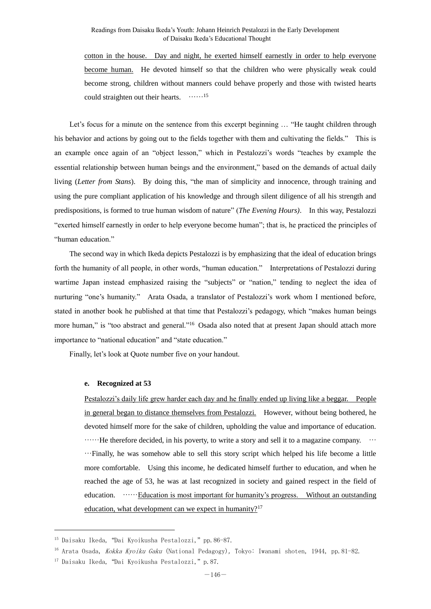cotton in the house. Day and night, he exerted himself earnestly in order to help everyone become human. He devoted himself so that the children who were physically weak could become strong, children without manners could behave properly and those with twisted hearts could straighten out their hearts. ……<sup>15</sup>

 Let's focus for a minute on the sentence from this excerpt beginning … "He taught children through his behavior and actions by going out to the fields together with them and cultivating the fields." This is an example once again of an "object lesson," which in Pestalozzi's words "teaches by example the essential relationship between human beings and the environment," based on the demands of actual daily living (*Letter from Stans*). By doing this, "the man of simplicity and innocence, through training and using the pure compliant application of his knowledge and through silent diligence of all his strength and predispositions, is formed to true human wisdom of nature" (*The Evening Hours)*. In this way, Pestalozzi "exerted himself earnestly in order to help everyone become human"; that is, he practiced the principles of "human education."

 The second way in which Ikeda depicts Pestalozzi is by emphasizing that the ideal of education brings forth the humanity of all people, in other words, "human education." Interpretations of Pestalozzi during wartime Japan instead emphasized raising the "subjects" or "nation," tending to neglect the idea of nurturing "one's humanity." Arata Osada, a translator of Pestalozzi's work whom I mentioned before, stated in another book he published at that time that Pestalozzi's pedagogy, which "makes human beings more human," is "too abstract and general."<sup>16</sup> Osada also noted that at present Japan should attach more importance to "national education" and "state education."

Finally, let's look at Quote number five on your handout.

### **e. Recognized at 53**

Pestalozzi's daily life grew harder each day and he finally ended up living like a beggar. People in general began to distance themselves from Pestalozzi. However, without being bothered, he devoted himself more for the sake of children, upholding the value and importance of education.  $\cdots$  He therefore decided, in his poverty, to write a story and sell it to a magazine company.  $\cdots$ …Finally, he was somehow able to sell this story script which helped his life become a little more comfortable. Using this income, he dedicated himself further to education, and when he reached the age of 53, he was at last recognized in society and gained respect in the field of education. **......** Education is most important for humanity's progress. Without an outstanding education, what development can we expect in humanity?<sup>17</sup>

j.

<sup>15</sup> Daisaku Ikeda, "Dai Kyoikusha Pestalozzi," pp.86-87.

<sup>&</sup>lt;sup>16</sup> Arata Osada, *Kokka Kyoiku Gaku* (National Pedagogy), Tokyo: Iwanami shoten, 1944, pp.81-82.

<sup>17</sup> Daisaku Ikeda, "Dai Kyoikusha Pestalozzi," p.87.